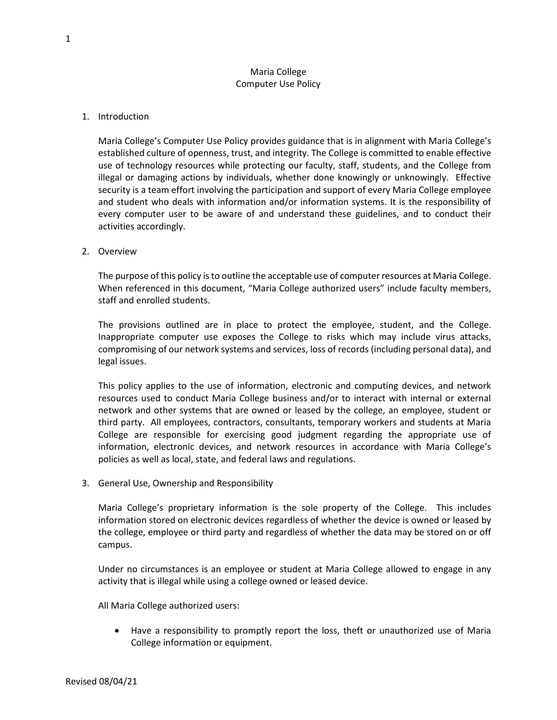## Maria College Computer Use Policy

## 1. Introduction

Maria College's Computer Use Policy provides guidance that is in alignment with Maria College's established culture of openness, trust, and integrity. The College is committed to enable effective use of technology resources while protecting our faculty, staff, students, and the College from illegal or damaging actions by individuals, whether done knowingly or unknowingly. Effective security is a team effort involving the participation and support of every Maria College employee and student who deals with information and/or information systems. It is the responsibility of every computer user to be aware of and understand these guidelines, and to conduct their activities accordingly.

## 2. Overview

The purpose of this policy is to outline the acceptable use of computer resources at Maria College. When referenced in this document, "Maria College authorized users" include faculty members, staff and enrolled students.

The provisions outlined are in place to protect the employee, student, and the College. Inappropriate computer use exposes the College to risks which may include virus attacks, compromising of our network systems and services, loss of records (including personal data), and legal issues.

This policy applies to the use of information, electronic and computing devices, and network resources used to conduct Maria College business and/or to interact with internal or external network and other systems that are owned or leased by the college, an employee, student or third party. All employees, contractors, consultants, temporary workers and students at Maria College are responsible for exercising good judgment regarding the appropriate use of information, electronic devices, and network resources in accordance with Maria College's policies as well as local, state, and federal laws and regulations.

3. General Use, Ownership and Responsibility

Maria College's proprietary information is the sole property of the College. This includes information stored on electronic devices regardless of whether the device is owned or leased by the college, employee or third party and regardless of whether the data may be stored on or off campus.

Under no circumstances is an employee or student at Maria College allowed to engage in any activity that is illegal while using a college owned or leased device.

All Maria College authorized users:

Have a responsibility to promptly report the loss, theft or unauthorized use of Maria College information or equipment.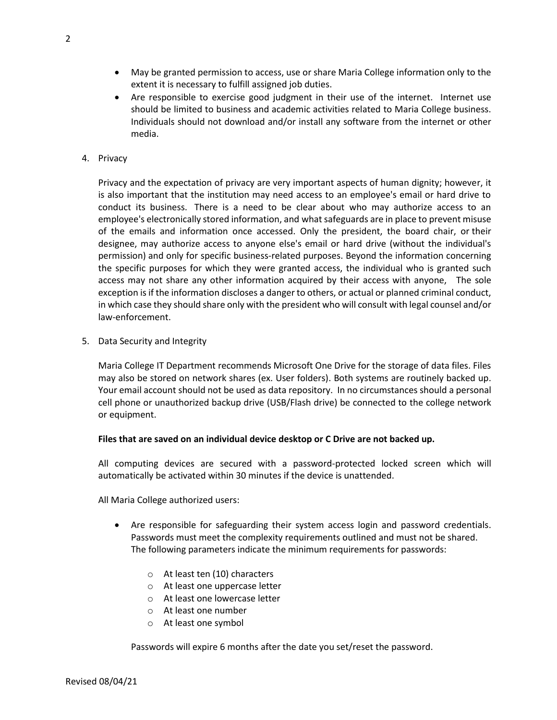- May be granted permission to access, use or share Maria College information only to the extent it is necessary to fulfill assigned job duties.
- Are responsible to exercise good judgment in their use of the internet. Internet use should be limited to business and academic activities related to Maria College business. Individuals should not download and/or install any software from the internet or other media.
- 4. Privacy

Privacy and the expectation of privacy are very important aspects of human dignity; however, it is also important that the institution may need access to an employee's email or hard drive to conduct its business. There is a need to be clear about who may authorize access to an employee's electronically stored information, and what safeguards are in place to prevent misuse of the emails and information once accessed. Only the president, the board chair, or their designee, may authorize access to anyone else's email or hard drive (without the individual's permission) and only for specific business-related purposes. Beyond the information concerning the specific purposes for which they were granted access, the individual who is granted such access may not share any other information acquired by their access with anyone, The sole exception is if the information discloses a danger to others, or actual or planned criminal conduct, in which case they should share only with the president who will consult with legal counsel and/or law-enforcement.

5. Data Security and Integrity

Maria College IT Department recommends Microsoft One Drive for the storage of data files. Files may also be stored on network shares (ex. User folders). Both systems are routinely backed up. Your email account should not be used as data repository. In no circumstances should a personal cell phone or unauthorized backup drive (USB/Flash drive) be connected to the college network or equipment.

## **Files that are saved on an individual device desktop or C Drive are not backed up.**

All computing devices are secured with a password-protected locked screen which will automatically be activated within 30 minutes if the device is unattended.

All Maria College authorized users:

- Are responsible for safeguarding their system access login and password credentials. Passwords must meet the complexity requirements outlined and must not be shared. The following parameters indicate the minimum requirements for passwords:
	- o At least ten (10) characters
	- o At least one uppercase letter
	- o At least one lowercase letter
	- o At least one number
	- o At least one symbol

Passwords will expire 6 months after the date you set/reset the password.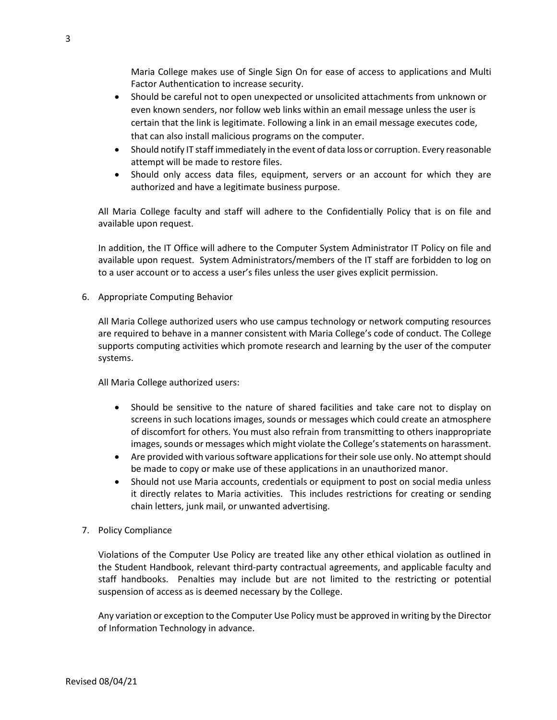Maria College makes use of Single Sign On for ease of access to applications and Multi Factor Authentication to increase security.

- Should be careful not to open unexpected or unsolicited attachments from unknown or even known senders, nor follow web links within an email message unless the user is certain that the link is legitimate. Following a link in an email message executes code, that can also install malicious programs on the computer.
- Should notify IT staff immediately in the event of data loss or corruption. Every reasonable attempt will be made to restore files.
- Should only access data files, equipment, servers or an account for which they are authorized and have a legitimate business purpose.

All Maria College faculty and staff will adhere to the Confidentially Policy that is on file and available upon request.

In addition, the IT Office will adhere to the Computer System Administrator IT Policy on file and available upon request. System Administrators/members of the IT staff are forbidden to log on to a user account or to access a user's files unless the user gives explicit permission.

6. Appropriate Computing Behavior

All Maria College authorized users who use campus technology or network computing resources are required to behave in a manner consistent with Maria College's code of conduct. The College supports computing activities which promote research and learning by the user of the computer systems.

All Maria College authorized users:

- Should be sensitive to the nature of shared facilities and take care not to display on screens in such locations images, sounds or messages which could create an atmosphere of discomfort for others. You must also refrain from transmitting to others inappropriate images, sounds or messages which might violate the College's statements on harassment.
- Are provided with various software applications for their sole use only. No attempt should be made to copy or make use of these applications in an unauthorized manor.
- Should not use Maria accounts, credentials or equipment to post on social media unless it directly relates to Maria activities. This includes restrictions for creating or sending chain letters, junk mail, or unwanted advertising.
- 7. Policy Compliance

Violations of the Computer Use Policy are treated like any other ethical violation as outlined in the Student Handbook, relevant third-party contractual agreements, and applicable faculty and staff handbooks. Penalties may include but are not limited to the restricting or potential suspension of access as is deemed necessary by the College.

Any variation or exception to the Computer Use Policy must be approved in writing by the Director of Information Technology in advance.